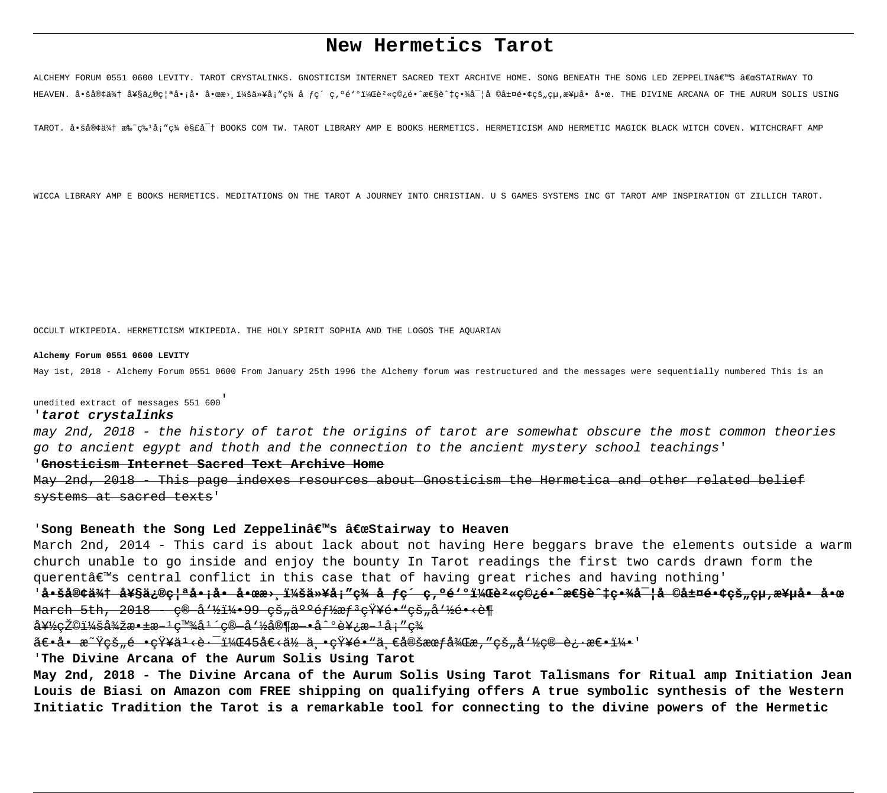# New Hermetics Tarot

ALCHEMY FORUM 0551 0600 LEVITY. TAROT CRYSTALINKS. GNOSTICISM INTERNET SACRED TEXT ARCHIVE HOME. SONG BENEATH THE SONG LED ZEPPELINÂE"S €œSTAIRWAY TO HEAVEN. 啚客來 奧修禪å•jå• å•œæ> i¼šä»¥åj″ç¾ å fç´ ç,ºé'ºï¼Œèº«ç©¿é•^性è^‡ç•¾å¯¦å ©å±¤é•¢çš"çµ,極å• å•æ. THE DIVINE ARCANA OF THE AURUM SOLIS USING

TAROT. å.šå®¢ä%† æ%~ç%1å;"ç% è§£å-† BOOKS COM TW. TAROT LIBRARY AMP E BOOKS HERMETICS. HERMETICISM AND HERMETIC MAGICK BLACK WITCH COVEN. WITCHCRAFT AMP

WICCA LIBRARY AMP E BOOKS HERMETICS. MEDITATIONS ON THE TAROT A JOURNEY INTO CHRISTIAN. U S GAMES SYSTEMS INC GT TAROT AMP INSPIRATION GT ZILLICH TAROT.

OCCULT WIKIPEDIA. HERMETICISM WIKIPEDIA. THE HOLY SPIRIT SOPHIA AND THE LOGOS THE AOUARIAN

#### Alchemy Forum 0551 0600 LEVITY

May 1st, 2018 - Alchemy Forum 0551 0600 From January 25th 1996 the Alchemy forum was restructured and the messages were sequentially numbered This is an

unedited extract of messages 551 600

#### 'tarot crystalinks

may 2nd, 2018 - the history of tarot the origins of tarot are somewhat obscure the most common theories go to ancient egypt and thoth and the connection to the ancient mystery school teachings'

#### 'Gnosticism Internet Sacred Text Archive Home

<u>May 2nd, 2018 – This page indexes resources about Gnosticism the Hermetica and other related belief</u> systems at sacred texts'

#### 'Song Beneath the Song Led Zeppelin's "Stairway to Heaven

March 2nd, 2014 - This card is about lack about not having Here beggars brave the elements outside a warm church unable to go inside and enjoy the bounty In Tarot readings the first two cards drawn form the querent's central conflict in this case that of having great riches and having nothing'

# 'å•<del>šå®¢ä¾† 奧修禪å•¡å• å•œæ› ï¼šä»¥å¡″ç¾ å ƒç´ ç,ºé≥ºï¼Œè°«ç©¿é•^性è^‡ç•¾å¯¦å ©å±¤é•¢çš"çµ,極å• å•æ</del> March 5th, 2018 - c 2114-99 c3, 2006 f / x f 2 c x x c 3, a 1/2 + c 3 m

<del>好eŽ©ï¼ŏ從敱æ–ŀe™¾åŀ´c®−å'½å®¶æ–•å^ºè¥¿æ–ŀå;″e¾</del>

<del>〕å• æ~Ÿçš"é •çŸ¥ä'<è·<sup>-</sup>,45å€<ä½ ä •çŸ¥é•"ä €å®šææf後æ,″çš"å'½ç® 迕怕5'</del>

'The Divine Arcana of the Aurum Solis Using Tarot

May 2nd, 2018 - The Divine Arcana of the Aurum Solis Using Tarot Talismans for Ritual amp Initiation Jean Louis de Biasi on Amazon com FREE shipping on qualifying offers A true symbolic synthesis of the Western Initiatic Tradition the Tarot is a remarkable tool for connecting to the divine powers of the Hermetic